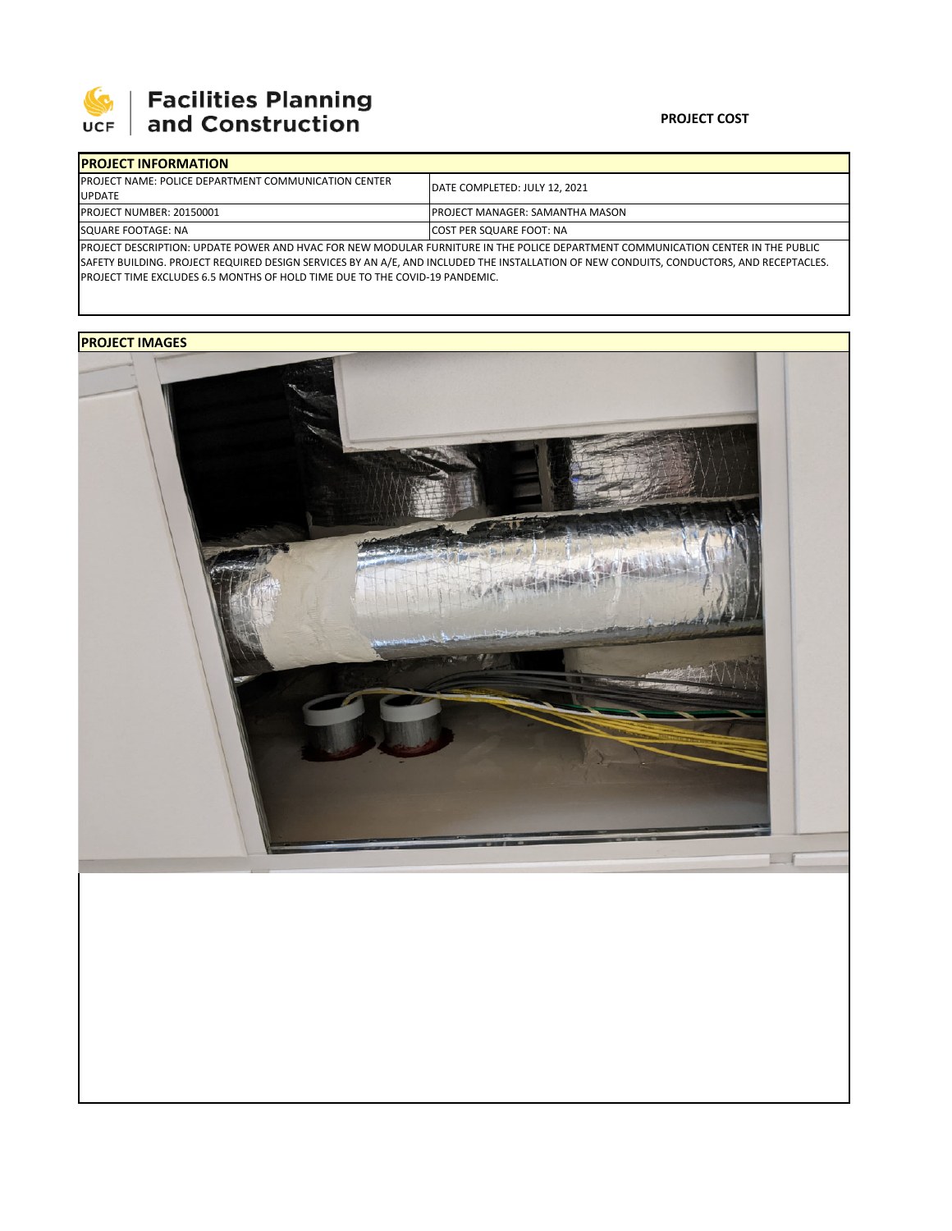

# **SEPTE SECUTE SECULIES Planning**<br>UCF and Construction

### **PROJECT COST**

| <b>IPROJECT INFORMATION</b>                                                                                                       |                                        |  |  |  |
|-----------------------------------------------------------------------------------------------------------------------------------|----------------------------------------|--|--|--|
| <b>IPROJECT NAME: POLICE DEPARTMENT COMMUNICATION CENTER</b>                                                                      | IDATE COMPLETED: JULY 12, 2021         |  |  |  |
| <b>UPDATE</b>                                                                                                                     |                                        |  |  |  |
| PROJECT NUMBER: 20150001                                                                                                          | <b>PROJECT MANAGER: SAMANTHA MASON</b> |  |  |  |
| SQUARE FOOTAGE: NA                                                                                                                | <b>COST PER SQUARE FOOT: NA</b>        |  |  |  |
| IPROJECT DESCRIPTION: UPDATE POWER AND HVAC FOR NEW MODULAR FURNITURE IN THE POLICE DEPARTMENT COMMUNICATION CENTER IN THE PUBLIC |                                        |  |  |  |

SAFETY BUILDING. PROJECT REQUIRED DESIGN SERVICES BY AN A/E, AND INCLUDED THE INSTALLATION OF NEW CONDUITS, CONDUCTORS, AND RECEPTACLES. PROJECT TIME EXCLUDES 6.5 MONTHS OF HOLD TIME DUE TO THE COVID‐19 PANDEMIC.

## **PROJECT IMAGES**